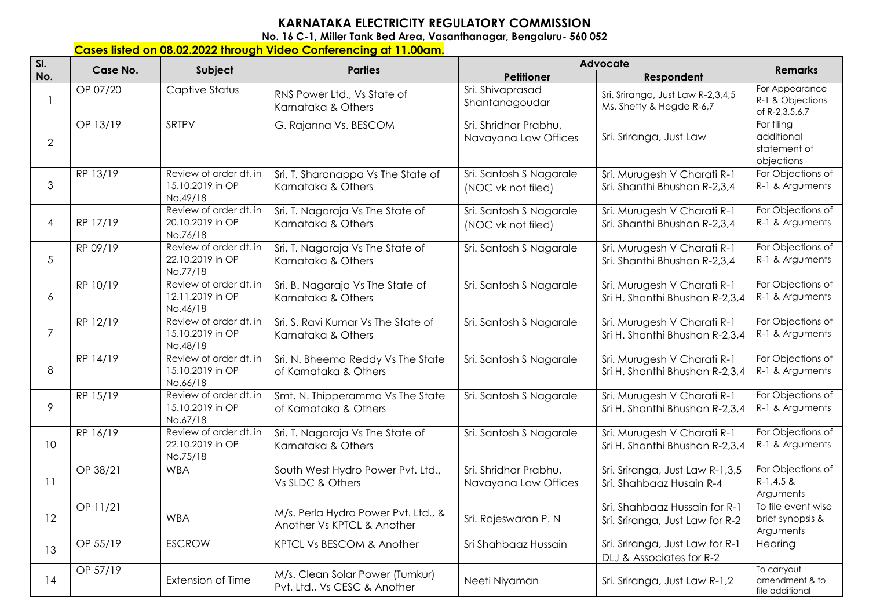## **KARNATAKA ELECTRICITY REGULATORY COMMISSION**

**No. 16 C-1, Miller Tank Bed Area, Vasanthanagar, Bengaluru- 560 052** 

## **Cases listed on 08.02.2022 through Video Conferencing at 11.00am.**

| SI.            | Case No. | Subject                                                | <b>Parties</b>                                                    | Advocate                                      |                                                                  |                                                        |
|----------------|----------|--------------------------------------------------------|-------------------------------------------------------------------|-----------------------------------------------|------------------------------------------------------------------|--------------------------------------------------------|
| No.            |          |                                                        |                                                                   | Petitioner                                    | Respondent                                                       | <b>Remarks</b>                                         |
| 1              | OP 07/20 | Captive Status                                         | RNS Power Ltd., Vs State of<br>Karnataka & Others                 | Sri. Shivaprasad<br>Shantanagoudar            | Sri. Sriranga, Just Law R-2,3,4,5<br>Ms. Shetty & Hegde R-6,7    | For Appearance<br>R-1 & Objections<br>of R-2,3,5,6,7   |
| $\overline{2}$ | OP 13/19 | SRTPV                                                  | G. Rajanna Vs. BESCOM                                             | Sri. Shridhar Prabhu,<br>Navayana Law Offices | Sri. Sriranga, Just Law                                          | For filing<br>additional<br>statement of<br>objections |
| 3              | RP 13/19 | Review of order dt. in<br>15.10.2019 in OP<br>No.49/18 | Sri. T. Sharanappa Vs The State of<br>Karnataka & Others          | Sri. Santosh S Nagarale<br>(NOC vk not filed) | Sri. Murugesh V Charati R-1<br>Sri. Shanthi Bhushan R-2,3,4      | For Objections of<br>R-1 & Arguments                   |
| $\overline{4}$ | RP 17/19 | Review of order dt. in<br>20.10.2019 in OP<br>No.76/18 | Sri. T. Nagaraja Vs The State of<br>Karnataka & Others            | Sri. Santosh S Nagarale<br>(NOC vk not filed) | Sri. Murugesh V Charati R-1<br>Sri. Shanthi Bhushan R-2,3,4      | For Objections of<br>R-1 & Arguments                   |
| 5              | RP 09/19 | Review of order dt. in<br>22.10.2019 in OP<br>No.77/18 | Sri. T. Nagaraja Vs The State of<br>Karnataka & Others            | Sri. Santosh S Nagarale                       | Sri. Murugesh V Charati R-1<br>Sri. Shanthi Bhushan R-2,3,4      | For Objections of<br>R-1 & Arguments                   |
| 6              | RP 10/19 | Review of order dt. in<br>12.11.2019 in OP<br>No.46/18 | Sri. B. Nagaraja Vs The State of<br>Karnataka & Others            | Sri. Santosh S Nagarale                       | Sri. Murugesh V Charati R-1<br>Sri H. Shanthi Bhushan R-2,3,4    | For Objections of<br>R-1 & Arguments                   |
| $\overline{7}$ | RP 12/19 | Review of order dt. in<br>15.10.2019 in OP<br>No.48/18 | Sri. S. Ravi Kumar Vs The State of<br>Karnataka & Others          | Sri. Santosh S Nagarale                       | Sri. Murugesh V Charati R-1<br>Sri H. Shanthi Bhushan R-2,3,4    | For Objections of<br>R-1 & Arguments                   |
| 8              | RP 14/19 | Review of order dt. in<br>15.10.2019 in OP<br>No.66/18 | Sri. N. Bheema Reddy Vs The State<br>of Karnataka & Others        | Sri. Santosh S Nagarale                       | Sri. Murugesh V Charati R-1<br>Sri H. Shanthi Bhushan R-2,3,4    | For Objections of<br>R-1 & Arguments                   |
| 9              | RP 15/19 | Review of order dt. in<br>15.10.2019 in OP<br>No.67/18 | Smt. N. Thipperamma Vs The State<br>of Karnataka & Others         | Sri. Santosh S Nagarale                       | Sri. Murugesh V Charati R-1<br>Sri H. Shanthi Bhushan R-2,3,4    | For Objections of<br>R-1 & Arguments                   |
| 10             | RP 16/19 | Review of order dt. in<br>22.10.2019 in OP<br>No.75/18 | Sri. T. Nagaraja Vs The State of<br>Karnataka & Others            | Sri. Santosh S Nagarale                       | Sri. Murugesh V Charati R-1<br>Sri H. Shanthi Bhushan R-2,3,4    | For Objections of<br>R-1 & Arguments                   |
| 11             | OP 38/21 | <b>WBA</b>                                             | South West Hydro Power Pvt. Ltd.,<br>Vs SLDC & Others             | Sri. Shridhar Prabhu,<br>Navayana Law Offices | Sri. Sriranga, Just Law R-1,3,5<br>Sri. Shahbaaz Husain R-4      | For Objections of<br>$R-1,4,5$ &<br>Arguments          |
| 12             | OP 11/21 | <b>WBA</b>                                             | M/s. Perla Hydro Power Pvt. Ltd., &<br>Another Vs KPTCL & Another | Sri. Rajeswaran P. N                          | Sri. Shahbaaz Hussain for R-1<br>Sri. Sriranga, Just Law for R-2 | To file event wise<br>brief synopsis &<br>Arguments    |
| 13             | OP 55/19 | <b>ESCROW</b>                                          | KPTCL Vs BESCOM & Another                                         | Sri Shahbaaz Hussain                          | Sri. Sriranga, Just Law for R-1<br>DLJ & Associates for R-2      | Hearing                                                |
| 14             | OP 57/19 | Extension of Time                                      | M/s. Clean Solar Power (Tumkur)<br>Pvt. Ltd., Vs CESC & Another   | Neeti Niyaman                                 | Sri. Sriranga, Just Law R-1,2                                    | To carryout<br>amendment & to<br>file additional       |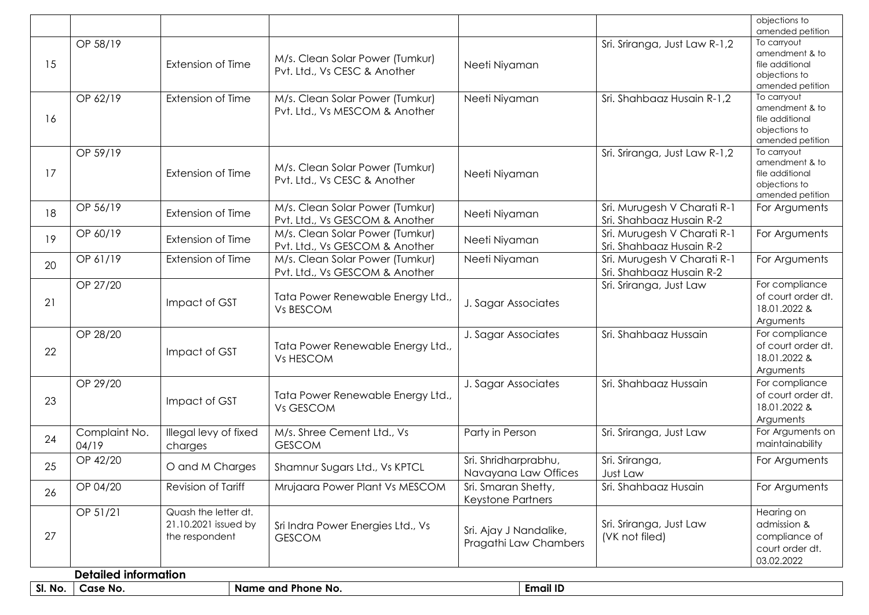|         |                             |                          |                                   |                        |                               | objections to                      |
|---------|-----------------------------|--------------------------|-----------------------------------|------------------------|-------------------------------|------------------------------------|
|         | OP 58/19                    |                          |                                   |                        | Sri. Sriranga, Just Law R-1,2 | amended petition<br>To carryout    |
|         |                             |                          | M/s. Clean Solar Power (Tumkur)   |                        |                               | amendment & to                     |
| 15      |                             | Extension of Time        | Pvt. Ltd., Vs CESC & Another      | Neeti Niyaman          |                               | file additional                    |
|         |                             |                          |                                   |                        |                               | objections to<br>amended petition  |
|         | OP 62/19                    | Extension of Time        | M/s. Clean Solar Power (Tumkur)   | Neeti Niyaman          | Sri. Shahbaaz Husain R-1,2    | To carryout                        |
|         |                             |                          | Pvt. Ltd., Vs MESCOM & Another    |                        |                               | amendment & to                     |
| 16      |                             |                          |                                   |                        |                               | file additional                    |
|         |                             |                          |                                   |                        |                               | objections to<br>amended petition  |
|         | OP 59/19                    |                          |                                   |                        | Sri. Sriranga, Just Law R-1,2 | To carryout                        |
|         |                             |                          | M/s. Clean Solar Power (Tumkur)   |                        |                               | amendment & to                     |
| 17      |                             | Extension of Time        | Pvt. Ltd., Vs CESC & Another      | Neeti Niyaman          |                               | file additional                    |
|         |                             |                          |                                   |                        |                               | objections to<br>amended petition  |
|         | OP 56/19                    |                          | M/s. Clean Solar Power (Tumkur)   |                        | Sri. Murugesh V Charati R-1   | For Arguments                      |
| 18      |                             | <b>Extension of Time</b> | Pvt. Ltd., Vs GESCOM & Another    | Neeti Niyaman          | Sri. Shahbaaz Husain R-2      |                                    |
| 19      | OP 60/19                    | Extension of Time        | M/s. Clean Solar Power (Tumkur)   |                        | Sri. Murugesh V Charati R-1   | For Arguments                      |
|         |                             |                          | Pvt. Ltd., Vs GESCOM & Another    | Neeti Niyaman          | Sri. Shahbaaz Husain R-2      |                                    |
| 20      | OP 61/19                    | Extension of Time        | M/s. Clean Solar Power (Tumkur)   | Neeti Niyaman          | Sri. Murugesh V Charati R-1   | For Arguments                      |
|         |                             |                          | Pvt. Ltd., Vs GESCOM & Another    |                        | Sri. Shahbaaz Husain R-2      |                                    |
|         | OP 27/20                    |                          |                                   |                        | Sri. Sriranga, Just Law       | For compliance                     |
| 21      |                             | Impact of GST            | Tata Power Renewable Energy Ltd., | J. Sagar Associates    |                               | of court order dt.<br>18.01.2022 & |
|         |                             |                          | Vs BESCOM                         |                        |                               | Arguments                          |
|         | OP 28/20                    |                          |                                   | J. Sagar Associates    | Sri. Shahbaaz Hussain         | For compliance                     |
|         |                             |                          | Tata Power Renewable Energy Ltd., |                        |                               | of court order dt.                 |
| 22      |                             | Impact of GST            | Vs HESCOM                         |                        |                               | 18.01.2022 &                       |
|         |                             |                          |                                   |                        |                               | Arguments                          |
|         | OP 29/20                    |                          |                                   | J. Sagar Associates    | Sri. Shahbaaz Hussain         | For compliance                     |
| 23      |                             | Impact of GST            | Tata Power Renewable Energy Ltd., |                        |                               | of court order dt.<br>18.01.2022 & |
|         |                             |                          | Vs GESCOM                         |                        |                               | Arguments                          |
|         | Complaint No.               | Illegal levy of fixed    | M/s. Shree Cement Ltd., Vs        | Party in Person        | Sri. Sriranga, Just Law       | For Arguments on                   |
| 24      | 04/19                       | charges                  | <b>GESCOM</b>                     |                        |                               | maintainability                    |
|         | OP 42/20                    |                          |                                   | Sri. Shridharprabhu,   | Sri. Sriranga,                | For Arguments                      |
| 25      |                             | O and M Charges          | Shamnur Sugars Ltd., Vs KPTCL     | Navayana Law Offices   | Just Law                      |                                    |
|         | OP 04/20                    | Revision of Tariff       | Mrujaara Power Plant Vs MESCOM    | Sri. Smaran Shetty,    | Sri. Shahbaaz Husain          | For Arguments                      |
| 26      |                             |                          |                                   | Keystone Partners      |                               |                                    |
|         | OP 51/21                    | Quash the letter dt.     |                                   |                        |                               | Hearing on                         |
|         |                             | 21.10.2021 issued by     | Sri Indra Power Energies Ltd., Vs | Sri. Ajay J Nandalike, | Sri. Sriranga, Just Law       | admission &                        |
| 27      |                             | the respondent           | <b>GESCOM</b>                     | Pragathi Law Chambers  | (VK not filed)                | compliance of                      |
|         |                             |                          |                                   |                        |                               | court order dt.<br>03.02.2022      |
|         | <b>Detailed information</b> |                          |                                   |                        |                               |                                    |
| SI. No. | Case No.                    |                          | Name and Phone No.                | <b>Email ID</b>        |                               |                                    |
|         |                             |                          |                                   |                        |                               |                                    |